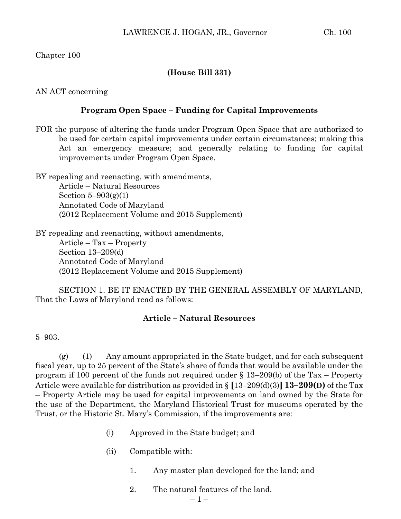Chapter 100

## **(House Bill 331)**

AN ACT concerning

## **Program Open Space – Funding for Capital Improvements**

FOR the purpose of altering the funds under Program Open Space that are authorized to be used for certain capital improvements under certain circumstances; making this Act an emergency measure; and generally relating to funding for capital improvements under Program Open Space.

BY repealing and reenacting, with amendments, Article – Natural Resources Section  $5-903(g)(1)$ Annotated Code of Maryland (2012 Replacement Volume and 2015 Supplement)

BY repealing and reenacting, without amendments, Article – Tax – Property Section 13–209(d) Annotated Code of Maryland (2012 Replacement Volume and 2015 Supplement)

SECTION 1. BE IT ENACTED BY THE GENERAL ASSEMBLY OF MARYLAND, That the Laws of Maryland read as follows:

## **Article – Natural Resources**

5–903.

(g) (1) Any amount appropriated in the State budget, and for each subsequent fiscal year, up to 25 percent of the State's share of funds that would be available under the program if 100 percent of the funds not required under § 13–209(b) of the Tax – Property Article were available for distribution as provided in § **[**13–209(d)(3)**] 13–209(D)** of the Tax – Property Article may be used for capital improvements on land owned by the State for the use of the Department, the Maryland Historical Trust for museums operated by the Trust, or the Historic St. Mary's Commission, if the improvements are:

- (i) Approved in the State budget; and
- (ii) Compatible with:
	- 1. Any master plan developed for the land; and
	- 2. The natural features of the land.